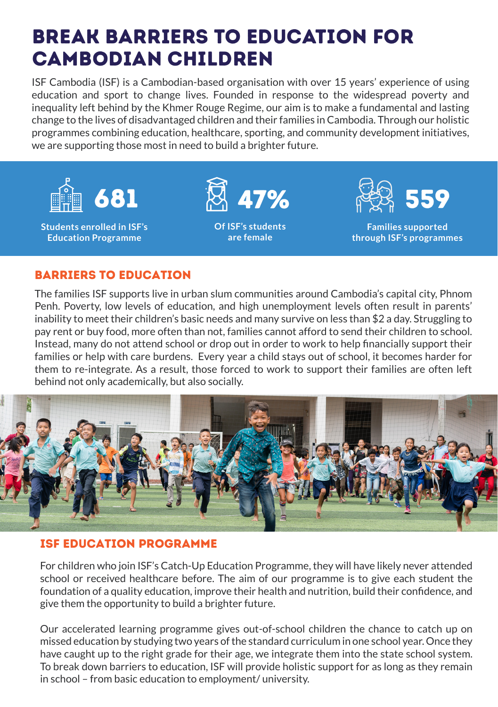# BREAK BARRIERS TO EDUCATION FOR CAMBODIAN CHILDREN

ISF Cambodia (ISF) is a Cambodian-based organisation with over 15 years' experience of using education and sport to change lives. Founded in response to the widespread poverty and inequality left behind by the Khmer Rouge Regime, our aim is to make a fundamental and lasting change to the lives of disadvantaged children and their families in Cambodia. Through our holistic programmes combining education, healthcare, sporting, and community development initiatives, we are supporting those most in need to build a brighter future.



### barriers to education

The families ISF supports live in urban slum communities around Cambodia's capital city, Phnom Penh. Poverty, low levels of education, and high unemployment levels often result in parents' inability to meet their children's basic needs and many survive on less than \$2 a day. Struggling to pay rent or buy food, more often than not, families cannot afford to send their children to school. Instead, many do not attend school or drop out in order to work to help financially support their families or help with care burdens. Every year a child stays out of school, it becomes harder for them to re-integrate. As a result, those forced to work to support their families are often left behind not only academically, but also socially.



#### ISF Education Programme

For children who join ISF's Catch-Up Education Programme, they will have likely never attended school or received healthcare before. The aim of our programme is to give each student the foundation of a quality education, improve their health and nutrition, build their confidence, and give them the opportunity to build a brighter future.

Our accelerated learning programme gives out-of-school children the chance to catch up on missed education by studying two years of the standard curriculum in one school year. Once they have caught up to the right grade for their age, we integrate them into the state school system. To break down barriers to education, ISF will provide holistic support for as long as they remain in school – from basic education to employment/ university.